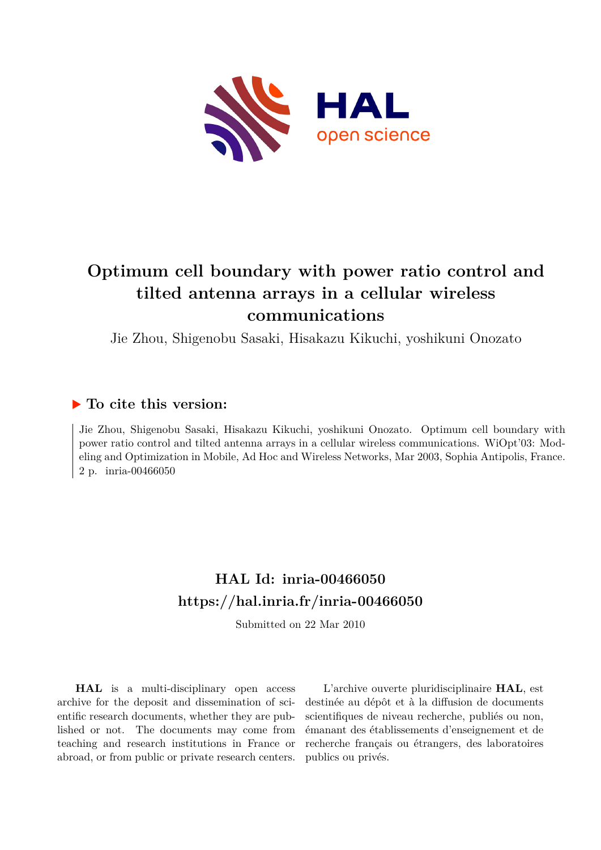

# **Optimum cell boundary with power ratio control and tilted antenna arrays in a cellular wireless communications**

Jie Zhou, Shigenobu Sasaki, Hisakazu Kikuchi, yoshikuni Onozato

# **To cite this version:**

Jie Zhou, Shigenobu Sasaki, Hisakazu Kikuchi, yoshikuni Onozato. Optimum cell boundary with power ratio control and tilted antenna arrays in a cellular wireless communications. WiOpt'03: Modeling and Optimization in Mobile, Ad Hoc and Wireless Networks, Mar 2003, Sophia Antipolis, France. 2 p. inria-00466050

# **HAL Id: inria-00466050 <https://hal.inria.fr/inria-00466050>**

Submitted on 22 Mar 2010

**HAL** is a multi-disciplinary open access archive for the deposit and dissemination of scientific research documents, whether they are published or not. The documents may come from teaching and research institutions in France or abroad, or from public or private research centers.

L'archive ouverte pluridisciplinaire **HAL**, est destinée au dépôt et à la diffusion de documents scientifiques de niveau recherche, publiés ou non, émanant des établissements d'enseignement et de recherche français ou étrangers, des laboratoires publics ou privés.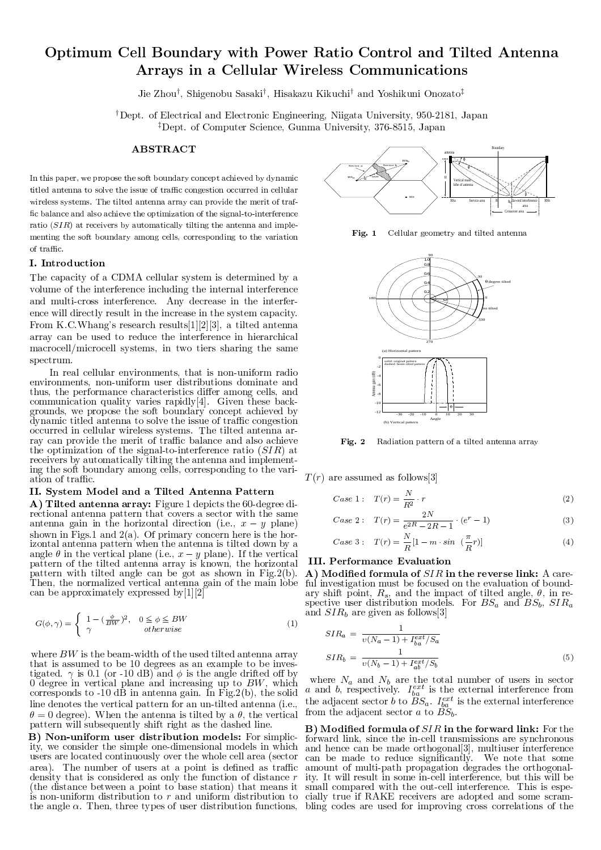# - 
 ! #"\$%&
')(\*+,-./10&
'#23.
' and the state of the state of the state of the state of the state of the state of the state of the state of the

Jie Zhou<sup>†</sup>, Shigenobu Sasaki<sup>†</sup>, Hisakazu Kikuchi<sup>†</sup> and Yoshikuni Onozato<sup>‡</sup>

<sup>†</sup>Dept. of Electrical and Electronic Engineering, Niigata University, 950-2181, Japan <sup>‡</sup>Dept. of Computer Science, Gunma University, 376-8515, Japan

# **ABSTRACT**

In this paper, we propose the soft boundary concept achieved by dynamic titled antenna to solve the issue of traffic congestion occurred in cellular wireless systems. The tilted antenna array can provide the merit of traffic balance and also achieve the optimization of the signal-to-interference ratio  $(SIR)$  at receivers by automatically tilting the antenna and implementing the soft boundary among cells, corresponding to the variation of traffic.

## I. Introduction

The capacity of a CDMA cellular system is determined by a volume of the interference including the internal interference and multi-cross interference. Any decrease in the interference will directly result in the increase in the system capacity. From K.C.Whang's research results[1][2][3], a tilted antenna array can be used to reduce the interference in hierarchical macrocell/microcell systems, in two tiers sharing the same spectrum.

In real cellular environments, that is non-uniform radio environments, non-uniform user distributions dominate and thus, the performance characteristics differ among cells, and communication quality varies rapidly [4]. Given these backgrounds, we propose the soft boundary concept achieved by dynamic titled antenna to solve the issue of traffic congestion GX]]8INnVnVB`ã@CRã]8BlPlCINlCTQnÛ@PnVBlPBUVUUºwXUVdVB8uUµh <sup>Ï</sup>ENBçdV@PlCd°B`ãTQRFd°BRNRNTTQnV| ray can provide the merit of traffic balance and also achieve the optimization of the signal-to-interference ratio  $(SIR)$  at receivers by automatically tilting the antenna and implementing the soft boundary among cells, corresponding to the variation of traffic.

#### ÃÃ8Ä óoôÆõXöø÷,ÉÇÊiõXùúHÅiÊûú ÍÎùÎÆ8õFÊ ÅoÆ8õFÅÅiúÐü\_úHÆ8ÆõXȵÅ

A) Tilted antenna array: Figure 1 depicts the 60-degree directional antenna pattern that covers a sector with the same TQRXdVB8RNRHT;OQTQRNHTIQRNAHTIQRNFd°TQRNHTIQRNFd°TQLOGTQRNHTIQRNHTIQRNFd°TQL-XONVB8DVDINIQRNFd°TQRNHTIQRNFdVDVD shown in Figs.1 and  $2(a)$ . Of primary concern here is the horizontal antenna pattern when the antenna is tilted down by a Tarnoqlapara tarnoqlapara tarnoqlapara tarnoqlapara tarnoqlapara tarnoqlapara tarnoqlapara tarnoqlapara tarnoq pattern of the tilted antenna array is known, the horizontal d'activaria de la componencia de la componencia de la componencia de la componencia de la componencia de la co <sup>Ï</sup>ENB8RiLHdVENB-RHGJnVuTQlC@C[8B8`ãvJBnVd°@C]8TQliTJRFdVB8RNRHT6OJTQ@CRÓGQjdVENBuTJ@CRÓlCGQSrB can be approximately expressed by [1] [2]

$$
G(\phi, \gamma) = \begin{cases} 1 - \left(\frac{\phi}{BW}\right)^2, & 0 \le \phi \le BW \\ \gamma & otherwise \end{cases}
$$
 and

where  $BW$  is the beam-width of the used tilted antenna array that is assumed to be 10 degrees as an example to be investigated.  $\gamma$  is 0.1 (or -10 dB) and  $\phi$  is the angle drifted off by  ${\rm 0}$  degree in vertical plane and increasing up to BW, which corresponds to -10 dB in antenna gain. In Fig. 2(b), the solid line denotes the vertical pattern for an un-tilted antenna (i.e.,  $\theta = 0$  degree). When the antenna is tilted by a  $\theta$ , the vertical pattern will subsequently shift right as the dashed line.

B) Non-uniform user distribution models: For simplicity, we consider the simple one-dimensional models in which users are located continuously over the whole cell area (sector ta iEHBpRFinst i de la constantino de la constantino de la constantino de la constantino de la constantino de la constantino de la constantino de la constantino de la constantino de la constantino de la constantino de la density that is considered as only the function of distance  $r$ (the distance between a point to base station) that means it is non-uniform distribution to r and uniform distribution to dvenniboda indiana indiana komzumatika komzumatika komzumatika komzumatika komzumatika komzumatika komzumatika



Fig. 1 Cellular geometry and tilted antenna



Fig. 2 Radiation pattern of a tilted antenna array

 $T(r)$  are assumed as follows[3]

Case 1: 
$$
T(r) = \frac{N}{R^2} \cdot r
$$
 (2)

Case 2: 
$$
T(r) = \frac{2N}{e^{2R} - 2R - 1} \cdot (e^r - 1)
$$
 (3)

Case 3: 
$$
T(r) = \frac{N}{R} [1 - m \cdot \sin (\frac{\pi}{R}r)]
$$
 (4)

#### $\overline{\text{III}}$  D<sub>an</sub>formanae Ereluction

 $\cdots$ i $\cdots$ ful investigation must be focused on the evaluation of boundary shift point,  $R_s$ , and the impact of tilted angle,  $\theta$ , in respective user distribution models. For  $BS_a$  and  $BS_b$ ,  $SIR_a$ and  $SIR<sub>b</sub>$  are given as follows [3]

$$
SIR_{a} = \frac{1}{v(N_{a} - 1) + I_{ba}^{ext}/S_{a}}
$$

$$
SIR_{b} = \frac{1}{v(N_{b} - 1) + I_{ab}^{ext}/S_{b}}
$$
(5)

where  $N_a$  and  $N_b$  are the total number of users in sector TARNIBB<del>B8UVG —</del> TO CUDVENT TO DELL'INDOOR AND DELL'INDOOR AND DELL'INDOOR AND DELL'INDOOR AND DELL'INDOOR AND DELL'INDOOR AND DELL'INDOOR AND DELL'INDOOR AND DELL'INDOOR AND DELL'INDOOR AND DELL'INDOOR AND DELL'INDOOR AND  $\alpha$  is the state  $\alpha$  and  $\alpha$  and  $\alpha$  and  $\alpha$  and  $\alpha$  $\mathcal{C}$  is the distribution of  $\mathcal{B}$ 

TARNIA BARAHASTA DI BARAHASTA DI BARAHASTA DI BARAHASTA DI BARAHASTA DI BARAHASTA DI BARAHASTA DI BARAHASTA DI UºçTQlClq]GQugNTQnVB8`âÛ@CdVEâdVENBGQINdV|~]B8lPlm@CRXdVB8nVjÖB8nVB8RH]8BXh <sup>Ï</sup>EH@PU-@PU>BUVgrB8| çý ÷,ÉÇÊiÍ tiõXÊEÉȵöãËiùÖúçÉEï¥ð¥ñØÍÎÅÆ
viõ@EÉÈ>úHÈZÊùÎÍÎÅyx<sup>þ</sup> ÜGJn!dVENB forward link, since the in-cell transmissions are synchronous can be made to reduce significantly. We note that some amount of multi-path propagation degrades the orthogonality. It will result in some in-cell interference, but this will be cially true if RAKE receivers are adopted and some scram-